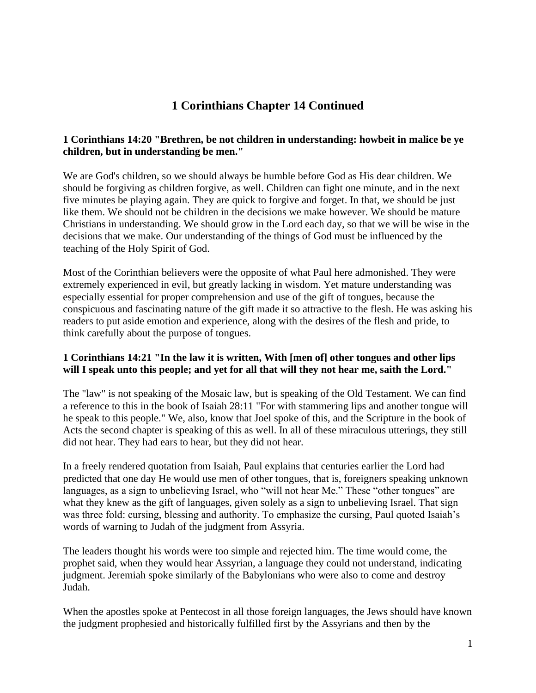## **1 Corinthians Chapter 14 Continued**

#### **1 Corinthians 14:20 "Brethren, be not children in understanding: howbeit in malice be ye children, but in understanding be men."**

We are God's children, so we should always be humble before God as His dear children. We should be forgiving as children forgive, as well. Children can fight one minute, and in the next five minutes be playing again. They are quick to forgive and forget. In that, we should be just like them. We should not be children in the decisions we make however. We should be mature Christians in understanding. We should grow in the Lord each day, so that we will be wise in the decisions that we make. Our understanding of the things of God must be influenced by the teaching of the Holy Spirit of God.

Most of the Corinthian believers were the opposite of what Paul here admonished. They were extremely experienced in evil, but greatly lacking in wisdom. Yet mature understanding was especially essential for proper comprehension and use of the gift of tongues, because the conspicuous and fascinating nature of the gift made it so attractive to the flesh. He was asking his readers to put aside emotion and experience, along with the desires of the flesh and pride, to think carefully about the purpose of tongues.

#### **1 Corinthians 14:21 "In the law it is written, With [men of] other tongues and other lips will I speak unto this people; and yet for all that will they not hear me, saith the Lord."**

The "law" is not speaking of the Mosaic law, but is speaking of the Old Testament. We can find a reference to this in the book of Isaiah 28:11 "For with stammering lips and another tongue will he speak to this people." We, also, know that Joel spoke of this, and the Scripture in the book of Acts the second chapter is speaking of this as well. In all of these miraculous utterings, they still did not hear. They had ears to hear, but they did not hear.

In a freely rendered quotation from Isaiah, Paul explains that centuries earlier the Lord had predicted that one day He would use men of other tongues, that is, foreigners speaking unknown languages, as a sign to unbelieving Israel, who "will not hear Me." These "other tongues" are what they knew as the gift of languages, given solely as a sign to unbelieving Israel. That sign was three fold: cursing, blessing and authority. To emphasize the cursing, Paul quoted Isaiah's words of warning to Judah of the judgment from Assyria.

The leaders thought his words were too simple and rejected him. The time would come, the prophet said, when they would hear Assyrian, a language they could not understand, indicating judgment. Jeremiah spoke similarly of the Babylonians who were also to come and destroy Judah.

When the apostles spoke at Pentecost in all those foreign languages, the Jews should have known the judgment prophesied and historically fulfilled first by the Assyrians and then by the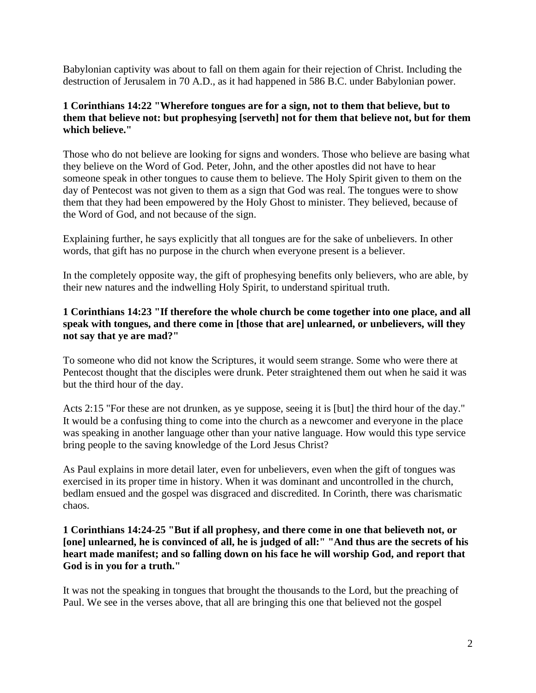Babylonian captivity was about to fall on them again for their rejection of Christ. Including the destruction of Jerusalem in 70 A.D., as it had happened in 586 B.C. under Babylonian power.

## **1 Corinthians 14:22 "Wherefore tongues are for a sign, not to them that believe, but to them that believe not: but prophesying [serveth] not for them that believe not, but for them which believe."**

Those who do not believe are looking for signs and wonders. Those who believe are basing what they believe on the Word of God. Peter, John, and the other apostles did not have to hear someone speak in other tongues to cause them to believe. The Holy Spirit given to them on the day of Pentecost was not given to them as a sign that God was real. The tongues were to show them that they had been empowered by the Holy Ghost to minister. They believed, because of the Word of God, and not because of the sign.

Explaining further, he says explicitly that all tongues are for the sake of unbelievers. In other words, that gift has no purpose in the church when everyone present is a believer.

In the completely opposite way, the gift of prophesying benefits only believers, who are able, by their new natures and the indwelling Holy Spirit, to understand spiritual truth.

## **1 Corinthians 14:23 "If therefore the whole church be come together into one place, and all speak with tongues, and there come in [those that are] unlearned, or unbelievers, will they not say that ye are mad?"**

To someone who did not know the Scriptures, it would seem strange. Some who were there at Pentecost thought that the disciples were drunk. Peter straightened them out when he said it was but the third hour of the day.

Acts 2:15 "For these are not drunken, as ye suppose, seeing it is [but] the third hour of the day." It would be a confusing thing to come into the church as a newcomer and everyone in the place was speaking in another language other than your native language. How would this type service bring people to the saving knowledge of the Lord Jesus Christ?

As Paul explains in more detail later, even for unbelievers, even when the gift of tongues was exercised in its proper time in history. When it was dominant and uncontrolled in the church, bedlam ensued and the gospel was disgraced and discredited. In Corinth, there was charismatic chaos.

#### **1 Corinthians 14:24-25 "But if all prophesy, and there come in one that believeth not, or [one] unlearned, he is convinced of all, he is judged of all:" "And thus are the secrets of his heart made manifest; and so falling down on his face he will worship God, and report that God is in you for a truth."**

It was not the speaking in tongues that brought the thousands to the Lord, but the preaching of Paul. We see in the verses above, that all are bringing this one that believed not the gospel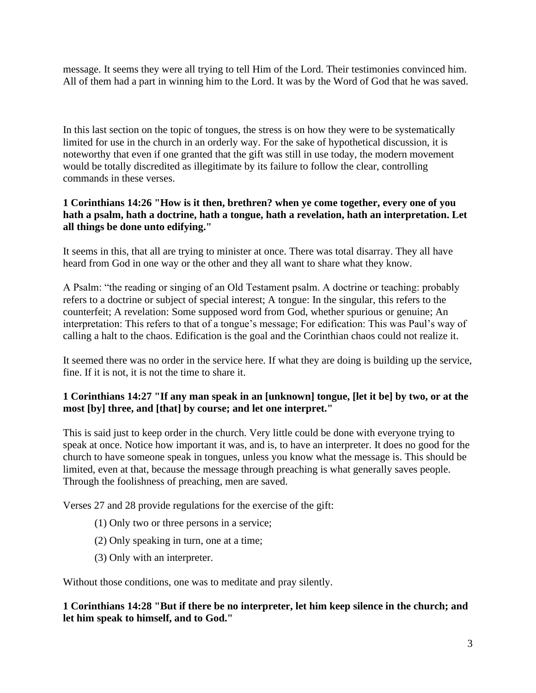message. It seems they were all trying to tell Him of the Lord. Their testimonies convinced him. All of them had a part in winning him to the Lord. It was by the Word of God that he was saved.

In this last section on the topic of tongues, the stress is on how they were to be systematically limited for use in the church in an orderly way. For the sake of hypothetical discussion, it is noteworthy that even if one granted that the gift was still in use today, the modern movement would be totally discredited as illegitimate by its failure to follow the clear, controlling commands in these verses.

## **1 Corinthians 14:26 "How is it then, brethren? when ye come together, every one of you hath a psalm, hath a doctrine, hath a tongue, hath a revelation, hath an interpretation. Let all things be done unto edifying."**

It seems in this, that all are trying to minister at once. There was total disarray. They all have heard from God in one way or the other and they all want to share what they know.

A Psalm: "the reading or singing of an Old Testament psalm. A doctrine or teaching: probably refers to a doctrine or subject of special interest; A tongue: In the singular, this refers to the counterfeit; A revelation: Some supposed word from God, whether spurious or genuine; An interpretation: This refers to that of a tongue's message; For edification: This was Paul's way of calling a halt to the chaos. Edification is the goal and the Corinthian chaos could not realize it.

It seemed there was no order in the service here. If what they are doing is building up the service, fine. If it is not, it is not the time to share it.

## **1 Corinthians 14:27 "If any man speak in an [unknown] tongue, [let it be] by two, or at the most [by] three, and [that] by course; and let one interpret."**

This is said just to keep order in the church. Very little could be done with everyone trying to speak at once. Notice how important it was, and is, to have an interpreter. It does no good for the church to have someone speak in tongues, unless you know what the message is. This should be limited, even at that, because the message through preaching is what generally saves people. Through the foolishness of preaching, men are saved.

Verses 27 and 28 provide regulations for the exercise of the gift:

- (1) Only two or three persons in a service;
- (2) Only speaking in turn, one at a time;
- (3) Only with an interpreter.

Without those conditions, one was to meditate and pray silently.

**1 Corinthians 14:28 "But if there be no interpreter, let him keep silence in the church; and let him speak to himself, and to God."**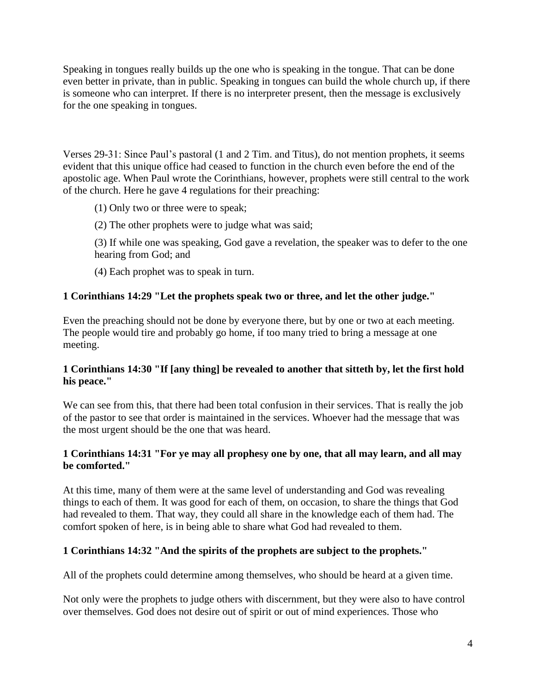Speaking in tongues really builds up the one who is speaking in the tongue. That can be done even better in private, than in public. Speaking in tongues can build the whole church up, if there is someone who can interpret. If there is no interpreter present, then the message is exclusively for the one speaking in tongues.

Verses 29-31: Since Paul's pastoral (1 and 2 Tim. and Titus), do not mention prophets, it seems evident that this unique office had ceased to function in the church even before the end of the apostolic age. When Paul wrote the Corinthians, however, prophets were still central to the work of the church. Here he gave 4 regulations for their preaching:

- (1) Only two or three were to speak;
- (2) The other prophets were to judge what was said;

(3) If while one was speaking, God gave a revelation, the speaker was to defer to the one hearing from God; and

(4) Each prophet was to speak in turn.

## **1 Corinthians 14:29 "Let the prophets speak two or three, and let the other judge."**

Even the preaching should not be done by everyone there, but by one or two at each meeting. The people would tire and probably go home, if too many tried to bring a message at one meeting.

## **1 Corinthians 14:30 "If [any thing] be revealed to another that sitteth by, let the first hold his peace."**

We can see from this, that there had been total confusion in their services. That is really the job of the pastor to see that order is maintained in the services. Whoever had the message that was the most urgent should be the one that was heard.

#### **1 Corinthians 14:31 "For ye may all prophesy one by one, that all may learn, and all may be comforted."**

At this time, many of them were at the same level of understanding and God was revealing things to each of them. It was good for each of them, on occasion, to share the things that God had revealed to them. That way, they could all share in the knowledge each of them had. The comfort spoken of here, is in being able to share what God had revealed to them.

## **1 Corinthians 14:32 "And the spirits of the prophets are subject to the prophets."**

All of the prophets could determine among themselves, who should be heard at a given time.

Not only were the prophets to judge others with discernment, but they were also to have control over themselves. God does not desire out of spirit or out of mind experiences. Those who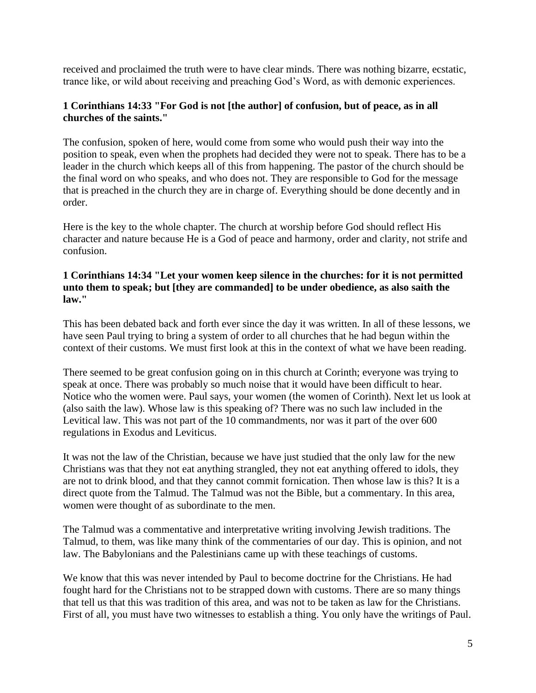received and proclaimed the truth were to have clear minds. There was nothing bizarre, ecstatic, trance like, or wild about receiving and preaching God's Word, as with demonic experiences.

#### **1 Corinthians 14:33 "For God is not [the author] of confusion, but of peace, as in all churches of the saints."**

The confusion, spoken of here, would come from some who would push their way into the position to speak, even when the prophets had decided they were not to speak. There has to be a leader in the church which keeps all of this from happening. The pastor of the church should be the final word on who speaks, and who does not. They are responsible to God for the message that is preached in the church they are in charge of. Everything should be done decently and in order.

Here is the key to the whole chapter. The church at worship before God should reflect His character and nature because He is a God of peace and harmony, order and clarity, not strife and confusion.

#### **1 Corinthians 14:34 "Let your women keep silence in the churches: for it is not permitted unto them to speak; but [they are commanded] to be under obedience, as also saith the law."**

This has been debated back and forth ever since the day it was written. In all of these lessons, we have seen Paul trying to bring a system of order to all churches that he had begun within the context of their customs. We must first look at this in the context of what we have been reading.

There seemed to be great confusion going on in this church at Corinth; everyone was trying to speak at once. There was probably so much noise that it would have been difficult to hear. Notice who the women were. Paul says, your women (the women of Corinth). Next let us look at (also saith the law). Whose law is this speaking of? There was no such law included in the Levitical law. This was not part of the 10 commandments, nor was it part of the over 600 regulations in Exodus and Leviticus.

It was not the law of the Christian, because we have just studied that the only law for the new Christians was that they not eat anything strangled, they not eat anything offered to idols, they are not to drink blood, and that they cannot commit fornication. Then whose law is this? It is a direct quote from the Talmud. The Talmud was not the Bible, but a commentary. In this area, women were thought of as subordinate to the men.

The Talmud was a commentative and interpretative writing involving Jewish traditions. The Talmud, to them, was like many think of the commentaries of our day. This is opinion, and not law. The Babylonians and the Palestinians came up with these teachings of customs.

We know that this was never intended by Paul to become doctrine for the Christians. He had fought hard for the Christians not to be strapped down with customs. There are so many things that tell us that this was tradition of this area, and was not to be taken as law for the Christians. First of all, you must have two witnesses to establish a thing. You only have the writings of Paul.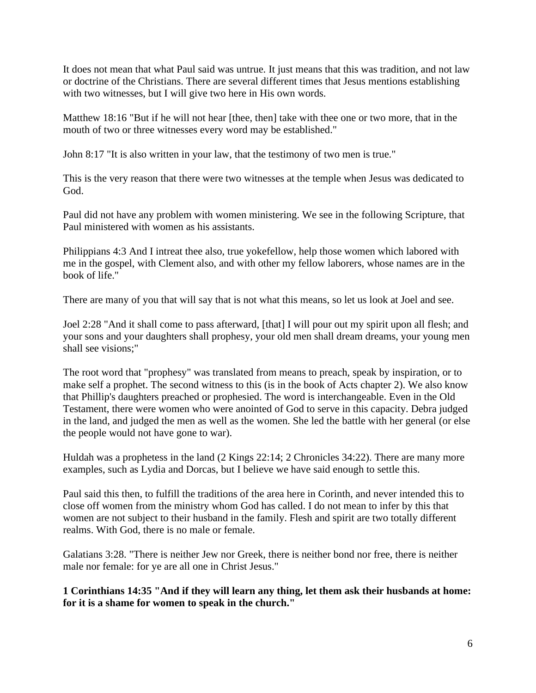It does not mean that what Paul said was untrue. It just means that this was tradition, and not law or doctrine of the Christians. There are several different times that Jesus mentions establishing with two witnesses, but I will give two here in His own words.

Matthew 18:16 "But if he will not hear [thee, then] take with thee one or two more, that in the mouth of two or three witnesses every word may be established."

John 8:17 "It is also written in your law, that the testimony of two men is true."

This is the very reason that there were two witnesses at the temple when Jesus was dedicated to God.

Paul did not have any problem with women ministering. We see in the following Scripture, that Paul ministered with women as his assistants.

Philippians 4:3 And I intreat thee also, true yokefellow, help those women which labored with me in the gospel, with Clement also, and with other my fellow laborers, whose names are in the book of life."

There are many of you that will say that is not what this means, so let us look at Joel and see.

Joel 2:28 "And it shall come to pass afterward, [that] I will pour out my spirit upon all flesh; and your sons and your daughters shall prophesy, your old men shall dream dreams, your young men shall see visions;"

The root word that "prophesy" was translated from means to preach, speak by inspiration, or to make self a prophet. The second witness to this (is in the book of Acts chapter 2). We also know that Phillip's daughters preached or prophesied. The word is interchangeable. Even in the Old Testament, there were women who were anointed of God to serve in this capacity. Debra judged in the land, and judged the men as well as the women. She led the battle with her general (or else the people would not have gone to war).

Huldah was a prophetess in the land (2 Kings 22:14; 2 Chronicles 34:22). There are many more examples, such as Lydia and Dorcas, but I believe we have said enough to settle this.

Paul said this then, to fulfill the traditions of the area here in Corinth, and never intended this to close off women from the ministry whom God has called. I do not mean to infer by this that women are not subject to their husband in the family. Flesh and spirit are two totally different realms. With God, there is no male or female.

Galatians 3:28. "There is neither Jew nor Greek, there is neither bond nor free, there is neither male nor female: for ye are all one in Christ Jesus."

**1 Corinthians 14:35 "And if they will learn any thing, let them ask their husbands at home: for it is a shame for women to speak in the church."**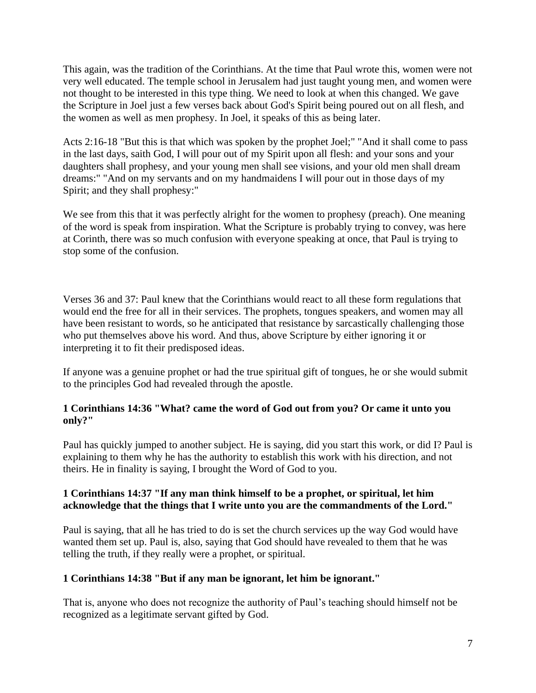This again, was the tradition of the Corinthians. At the time that Paul wrote this, women were not very well educated. The temple school in Jerusalem had just taught young men, and women were not thought to be interested in this type thing. We need to look at when this changed. We gave the Scripture in Joel just a few verses back about God's Spirit being poured out on all flesh, and the women as well as men prophesy. In Joel, it speaks of this as being later.

Acts 2:16-18 "But this is that which was spoken by the prophet Joel;" "And it shall come to pass in the last days, saith God, I will pour out of my Spirit upon all flesh: and your sons and your daughters shall prophesy, and your young men shall see visions, and your old men shall dream dreams:" "And on my servants and on my handmaidens I will pour out in those days of my Spirit; and they shall prophesy:"

We see from this that it was perfectly alright for the women to prophesy (preach). One meaning of the word is speak from inspiration. What the Scripture is probably trying to convey, was here at Corinth, there was so much confusion with everyone speaking at once, that Paul is trying to stop some of the confusion.

Verses 36 and 37: Paul knew that the Corinthians would react to all these form regulations that would end the free for all in their services. The prophets, tongues speakers, and women may all have been resistant to words, so he anticipated that resistance by sarcastically challenging those who put themselves above his word. And thus, above Scripture by either ignoring it or interpreting it to fit their predisposed ideas.

If anyone was a genuine prophet or had the true spiritual gift of tongues, he or she would submit to the principles God had revealed through the apostle.

## **1 Corinthians 14:36 "What? came the word of God out from you? Or came it unto you only?"**

Paul has quickly jumped to another subject. He is saying, did you start this work, or did I? Paul is explaining to them why he has the authority to establish this work with his direction, and not theirs. He in finality is saying, I brought the Word of God to you.

## **1 Corinthians 14:37 "If any man think himself to be a prophet, or spiritual, let him acknowledge that the things that I write unto you are the commandments of the Lord."**

Paul is saying, that all he has tried to do is set the church services up the way God would have wanted them set up. Paul is, also, saying that God should have revealed to them that he was telling the truth, if they really were a prophet, or spiritual.

## **1 Corinthians 14:38 "But if any man be ignorant, let him be ignorant."**

That is, anyone who does not recognize the authority of Paul's teaching should himself not be recognized as a legitimate servant gifted by God.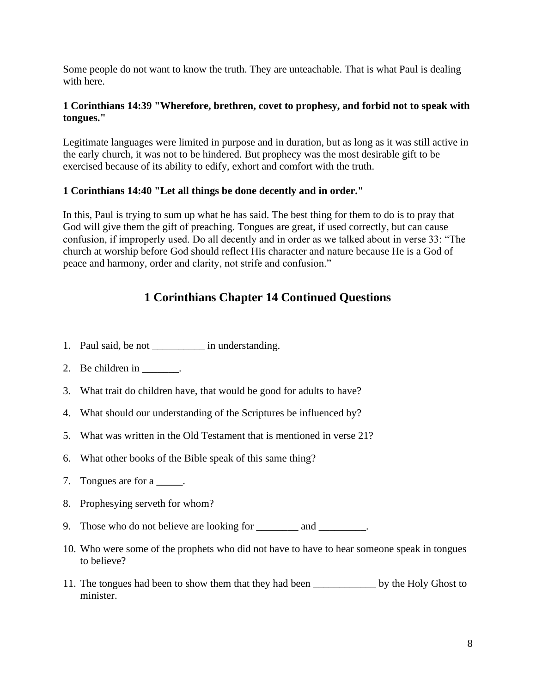Some people do not want to know the truth. They are unteachable. That is what Paul is dealing with here.

## **1 Corinthians 14:39 "Wherefore, brethren, covet to prophesy, and forbid not to speak with tongues."**

Legitimate languages were limited in purpose and in duration, but as long as it was still active in the early church, it was not to be hindered. But prophecy was the most desirable gift to be exercised because of its ability to edify, exhort and comfort with the truth.

## **1 Corinthians 14:40 "Let all things be done decently and in order."**

In this, Paul is trying to sum up what he has said. The best thing for them to do is to pray that God will give them the gift of preaching. Tongues are great, if used correctly, but can cause confusion, if improperly used. Do all decently and in order as we talked about in verse 33: "The church at worship before God should reflect His character and nature because He is a God of peace and harmony, order and clarity, not strife and confusion."

# **1 Corinthians Chapter 14 Continued Questions**

- 1. Paul said, be not \_\_\_\_\_\_\_\_\_\_\_\_ in understanding.
- 2. Be children in  $\_\_\_\_\_\_\_\$ .
- 3. What trait do children have, that would be good for adults to have?
- 4. What should our understanding of the Scriptures be influenced by?
- 5. What was written in the Old Testament that is mentioned in verse 21?
- 6. What other books of the Bible speak of this same thing?
- 7. Tongues are for a \_\_\_\_\_.
- 8. Prophesying serveth for whom?
- 9. Those who do not believe are looking for and  $\qquad \qquad$ .
- 10. Who were some of the prophets who did not have to have to hear someone speak in tongues to believe?
- 11. The tongues had been to show them that they had been by the Holy Ghost to minister.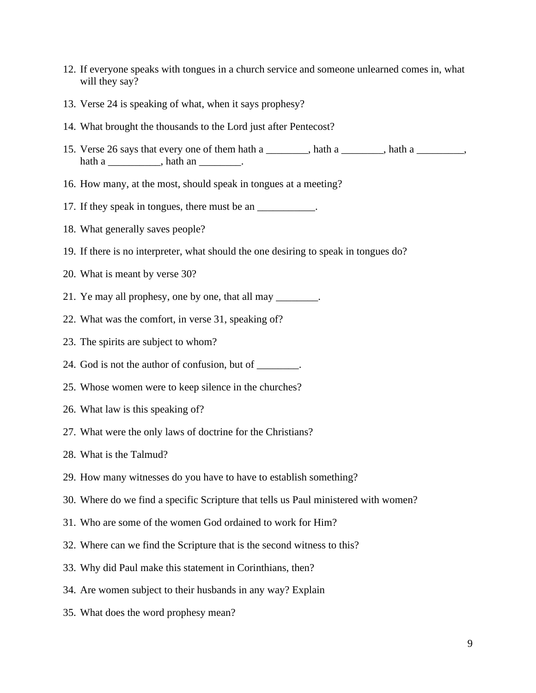- 12. If everyone speaks with tongues in a church service and someone unlearned comes in, what will they say?
- 13. Verse 24 is speaking of what, when it says prophesy?
- 14. What brought the thousands to the Lord just after Pentecost?
- 15. Verse 26 says that every one of them hath a \_\_\_\_\_\_\_, hath a \_\_\_\_\_\_, hath a \_\_\_\_\_\_\_, hath a \_\_\_\_\_\_\_\_\_\_\_\_, hath an \_\_\_\_\_\_\_\_.
- 16. How many, at the most, should speak in tongues at a meeting?
- 17. If they speak in tongues, there must be an \_\_\_\_\_\_\_\_\_\_\_\_.
- 18. What generally saves people?
- 19. If there is no interpreter, what should the one desiring to speak in tongues do?
- 20. What is meant by verse 30?
- 21. Ye may all prophesy, one by one, that all may \_\_\_\_\_\_\_\_.
- 22. What was the comfort, in verse 31, speaking of?
- 23. The spirits are subject to whom?
- 24. God is not the author of confusion, but of \_\_\_\_\_\_\_\_.
- 25. Whose women were to keep silence in the churches?
- 26. What law is this speaking of?
- 27. What were the only laws of doctrine for the Christians?
- 28. What is the Talmud?
- 29. How many witnesses do you have to have to establish something?
- 30. Where do we find a specific Scripture that tells us Paul ministered with women?
- 31. Who are some of the women God ordained to work for Him?
- 32. Where can we find the Scripture that is the second witness to this?
- 33. Why did Paul make this statement in Corinthians, then?
- 34. Are women subject to their husbands in any way? Explain
- 35. What does the word prophesy mean?